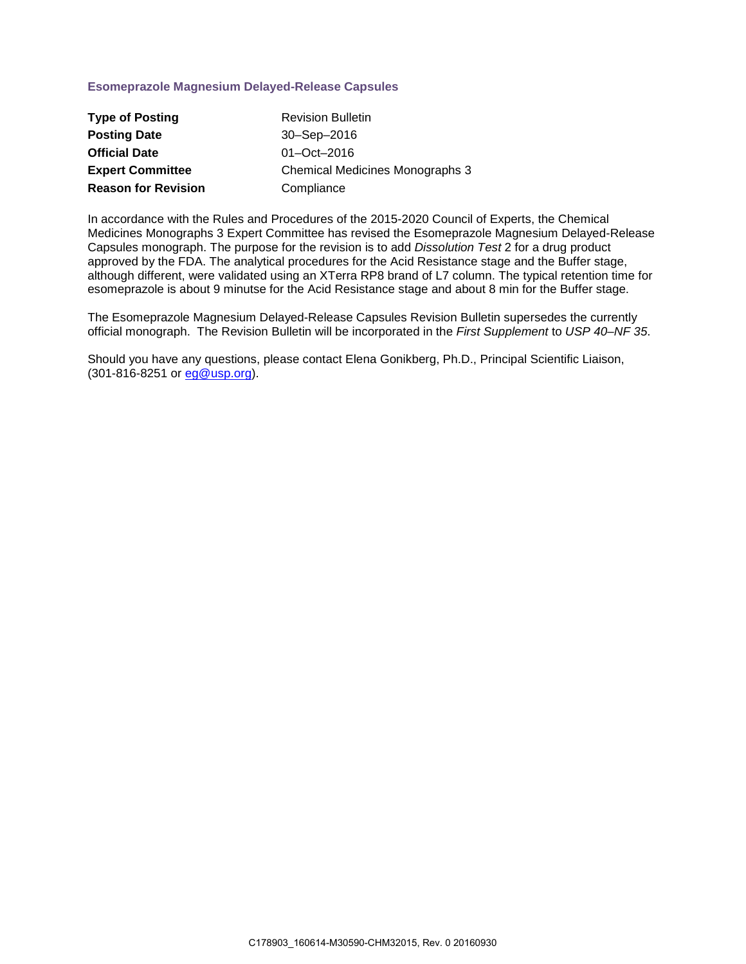# **Esomeprazole Magnesium Delayed-Release Capsules**

| <b>Type of Posting</b>     | <b>Revision Bulletin</b>        |
|----------------------------|---------------------------------|
| <b>Posting Date</b>        | 30-Sep-2016                     |
| <b>Official Date</b>       | $01 - Oct - 2016$               |
| <b>Expert Committee</b>    | Chemical Medicines Monographs 3 |
| <b>Reason for Revision</b> | Compliance                      |

In accordance with the Rules and Procedures of the 2015-2020 Council of Experts, the Chemical Medicines Monographs 3 Expert Committee has revised the Esomeprazole Magnesium Delayed-Release Capsules monograph. The purpose for the revision is to add *Dissolution Test* 2 for a drug product approved by the FDA. The analytical procedures for the Acid Resistance stage and the Buffer stage, although different, were validated using an XTerra RP8 brand of L7 column. The typical retention time for esomeprazole is about 9 minutse for the Acid Resistance stage and about 8 min for the Buffer stage.

The Esomeprazole Magnesium Delayed-Release Capsules Revision Bulletin supersedes the currently official monograph. The Revision Bulletin will be incorporated in the *First Supplement* to *USP 40–NF 35*.

Should you have any questions, please contact Elena Gonikberg, Ph.D., Principal Scientific Liaison, (301-816-8251 or [eg@usp.org\)](mailto:eg@usp.org).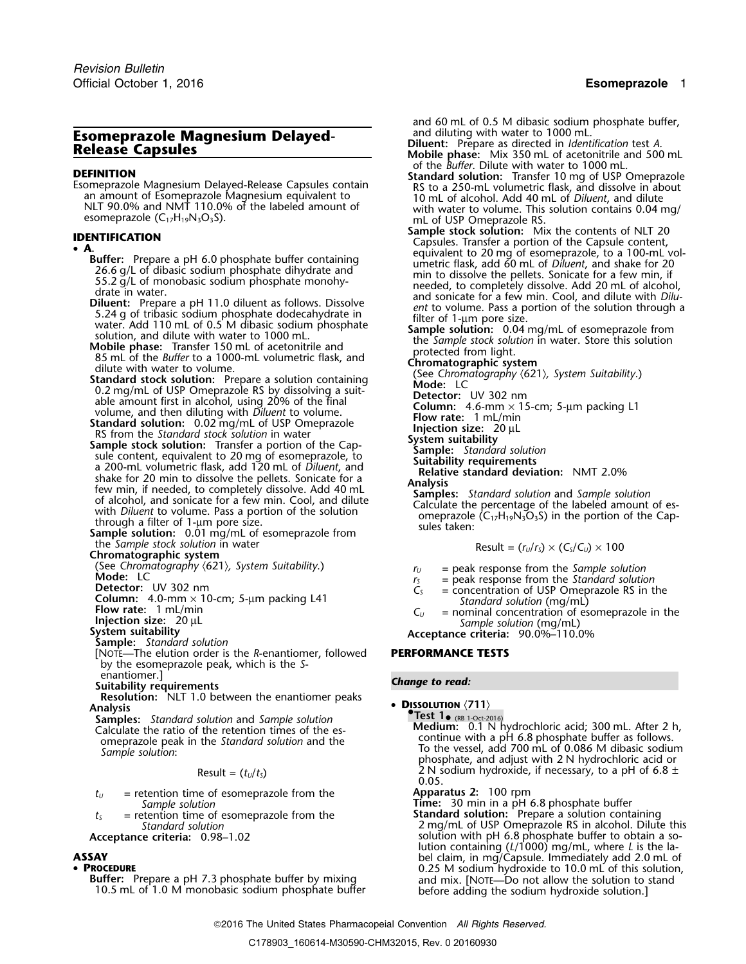- 
- 

**A**<br> **A**<br> **Example 5.0 Example the control in the control control complete that the summative flack and 60 mL of Diluent, and shake for 20<br>
26.6 g/L of dibasic sodium phosphate dimentioned in the distolve the pellets. S** 

the *Sample stock solution* in water Chromatographic system

**Sample:** *Standard solution*

[NOTE—The elution order is the *R*-enantiomer, followed **PERFORMANCE TESTS** by the esomeprazole peak, which is the *S*-

enantiomer.] *Change to read:* **Suitability requirements**

**Resolution:** NLT 1.0 between the enantiomer peaks **• DISSOLUTION**  $\langle 711 \rangle$ <br>Analysis

**Samples:** *Standard solution* and *Sample solution*<br>**Calculate the ratio of the retention times of the es**omeprazole peak in the Standard solution and the *Sample solution*:

$$
Result = (t_U/t_S)
$$

$$
t_U
$$
 = retention time of esomeparazole from the  
Sample solution  
Time: 30 min in a pH 6.8 phosphate buffer

•

10.5 mL of 1.0 M monobasic sodium phosphate buffer

and 60 mL of 0.5 M dibasic sodium phosphate buffer, and diluting with water to 1000 mL.

- **Esomeprazole Magnesium Delayed-** and diluting with water to 1000 mL.<br>**Release Capsules Chapses Capsules Exerces Capsules Exerced in Identification test A.**<br>of the *Buffer*. Dilute with water to 1000 mL.
- **DEFINITION**<br>
Esomeprazole Magnesium Delayed-Release Capsules contain<br>
an amount of Esomeprazole Magnesium equivalent to<br>
NLT 90.0% and NMT 110.0% of the labeled amount of<br>
esomeprazole (C<sub>17</sub>H<sub>19</sub>N<sub>3</sub>O<sub>3</sub>S).<br>
Transfer 10
- mL of USP Omeprazole RS.<br>Sample stock solution: Mix the contents of NLT 20 **Sample stock solution:** Mix the contents of NLT 20<br> **A.** Capsules. Transfer a portion of the Capsule content,<br>
Puffer, Presence a pul 6.0 phasebate buffer contening
	-

$$
Result = (r_U/r_S) \times (C_S/C_U) \times 100
$$

- (See *Chromatography*  $\langle 621 \rangle$ , *System Suitability*.)  $r_U$  = peak response from the *Sample solution*<br> **Mode:** LC  $r_S$  = peak response from the *Standard solution*<br>
Detector: UV 302 nm
	-
	-
- Detector: UV 302 nm<br>
Column: 4.0-mm × 10-cm; 5-µm packing L41<br>
Flow rate: 1 mL/min<br>
Injection size: 20 µL<br>
System suitability<br>
System suitability<br>
System suitability<br>
System suitability<br>
System suitability<br>
System suitabi

**Test 1.** (RB 1-Oct-2016)<br> **Medium:** 0.1 N hydrochloric acid; 300 mL. After 2 h,<br>
continue with a pH 6.8 phosphate buffer as follows. *Sample solution*: To the vessel, add 700 mL of 0.086 M dibasic sodium phosphate, and adjust with 2 N hydrochloric acid or  $2 N$  sodium hydroxide, if necessary, to a pH of  $6.8 \pm 0.05$ .

**Apparatus 2:** 100 rpm

*<sup>t</sup><sup>S</sup>* = retention time of esomeprazole from the **Standard solution:** Prepare a solution containing *Standard solution* 2 mg/mL of USP Omeprazole RS in alcohol. Dilute this Acceptance criteria:  $0.98-1.02$  solution with pH 6.8 phosphate buffer to obtain a solution containing (*L*/1000) mg/mL, where *L* is the la-**ASSAY**<br> **• PROCEDURE bel** claim, in mg/Capsule. Immediately add 2.0 mL of **PROCEDURE • PROCEDURE PROCEDURE**<br> **PROCEDURE** 0.25 M sodium hydroxide to 10.0 mL of this solution,<br> **Buffer:** Prepare a pH 7.3 phosphate buffer and mix. [NOTE—Do not allow the solution to stand<br>
10.5 mL of 1.0 M monobasic sodium phosphate buff

2016 The United States Pharmacopeial Convention *All Rights Reserved.*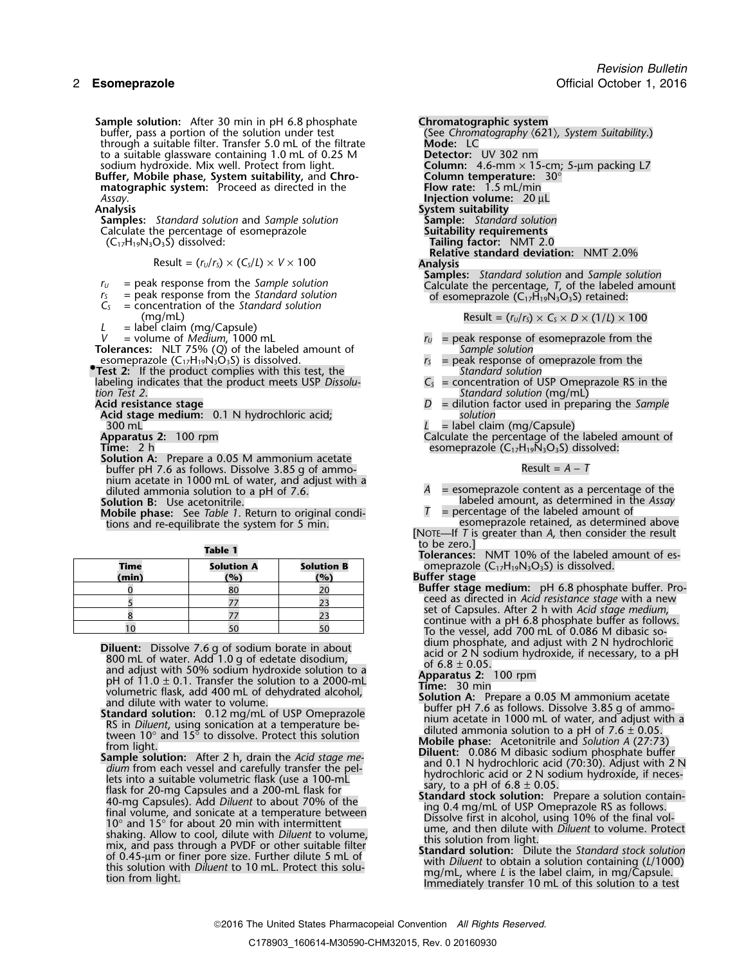**Sample solution:** After 30 min in pH 6.8 phosphate **Chromatographic system**<br>buffer, pass a portion of the solution under test (See Chromatography  $(62)$ ) through a suitable filter. Transfer 5.0 mL of the filtrate to a suitable glassware containing 1.0 mL of 0.25 M sodium hydroxide. Mix well. Protect from light.

**Buffer, Mobile phase, System suitability,** and **Chro- Column temperature:** 30° **matographic system:** Proceed as directed in the **Flow rate:** 1.5 mL/min *Assay*. **Injection volume:** 20 µL

**Samples:** *Standard solution* and *Sample solution* **Sample:** *Standard solution* Calculate the percentage of esomeprazole (C<sub>17</sub>H<sub>19</sub>N<sub>3</sub>O<sub>3</sub>S) dissolved:

Result =  $(r_U/r_S) \times (C_S/L) \times V \times 100$  Analysis

- 
- 
- 
- 
- *L* = label claim (mg/Capsule)<br>*V* = volume of *Medium*, 1000 mL

**Tolerances:** NLT 75% (*Q*) of the labeled amount of *Sample solution*<br>
esomeprazole (C<sub>17</sub>H<sub>19</sub>N<sub>3</sub>O<sub>3</sub>S) is dissolved.<br> *r<sub>s</sub>* = peak response of omeprazole from the

esomeprazole  $(C_{17}H_{19}N_3O_3S)$  is dissolved. <br>**Test 2:** If the product complies with this test, the *r<sub>s</sub>* = peak response of oution **Test 2:** If the product complies with this test, the *Standard solution C<sub>s</sub>* = *Concentration of USP Omeprazole RS in the Intermition C<sub>s</sub>* = *Concentration of USP Omeprazole RS in the* labeling indicates that the product meets USP Dissolution Test 2. *tion Test 2*.<br>**Acid resistance stage** example and the set of the standard solution (mg/mL) and **Standard solution** (mg/mL)

**Acid stage medium:** 0.1 N hydrochloric acid; *solution* 300 mL<br>**Apparatus 2:** 100 rpm **L L L** abel claim (mg/Capsule)<br>Calculate the percentage of the

**Solution A:** Prepare a 0.05 M ammonium acetate buffer pH 7.6 as follows. Dissolve 3.85 g of ammonium acetate in 1000 mL of water, and adjust with a

tions and re-equilibrate the system for 5 min.

| Table |  |  |
|-------|--|--|
|       |  |  |

| Time<br>(min) | <b>Solution A</b><br>(%) | <b>Solution B</b><br>(9) |
|---------------|--------------------------|--------------------------|
|               | 80                       |                          |
|               |                          |                          |
|               |                          |                          |
|               |                          |                          |

**Diluent:** Dissolve 7.6 g of sodium borate in about<br>
and caliom physphate, and adjust with 2N hydrochloric<br>
800 mL of water. Add 1.0 g of elected tisolotium,<br>
and adjust with 30% sodium hydroxide solution to a<br>
400 mL of

(See Chromatography ⟨621⟩*, System Suitability.*)<br>**Mode:** LC sodium Lictor: UV 302 nm<br>**Column:** 4.6-mm × 15-cm; 5-µm packing L7<br>Column temperature: 30° **System suitability**<br>**Sample:** Standard solution Tailing factor: NMT 2.0 **Relative standard deviation:** NMT 2.0% **Samples:** *Standard solution* and *Sample solution <sup>r</sup><sup>U</sup>* = peak response from the *Sample solution* Calculate the percentage, *T*, of the labeled amount

*r*<sub>S</sub> = peak response from the *Standard solution* **of esomeprazole (C<sub>17</sub>H<sub>19</sub>N<sub>3</sub>O<sub>3</sub>S) retained:** *C*<sub>S</sub> = concentration of the *Standard solution* 

(mg/mL) Result =  $(r_0/r_s) \times C_s \times D \times (1/l) \times 100$ 

- $v_U$  = peak response of esomeprazole from the *Sample solution*
- 
- 
- **Acid resistance stage** *D* = dilution factor used in preparing the *Sample*
- 

**Apparatus 2:** 100 rpm **Calculate the percentage of the labeled amount of Calculate the percentage of the labeled amount of**  $\sum_{n=1}^{\infty}$ esomeprazole (C<sub>17</sub>H<sub>19</sub>N<sub>3</sub>O<sub>3</sub>S) dissolved:

 $A =$  esomeprazole content as a percentage of the Solution B: Use acetonitrile.<br>**Solution B:** Use acetonitrile.<br>**Mobile phase:** See Table 1. Return to original condi-<br>**Mobile phase:** See Table 1. Return to original condi-<br>**T** = percentage of the labeled amount of

**Mobile phase:** See *Table 1*. Return to original condi-<br>tions and re-equilibrate the system for 5 min.<br>esomeprazole retained, as determined above

[NOTE—If *T* is greater than *A*, then consider the result

Tolerances: NMT 10% of the labeled amount of es-**Someprazole (C<sub>17</sub>H<sub>19</sub>N<sub>3</sub>O<sub>3</sub>S) is dissolved.** 

### **(min) (%) (%) Buffer stage**

- Buffer stage medium: pH 6.8 phosphate buffer. Pro-<sup>5</sup> <sup>77</sup> <sup>23</sup> ceed as directed in *Acid resistance stage* with a new set of Capsules. After 2 h with *Acid stage medium*, continue with a pH 6.8 phosphate buffer as follows. To the vessel, add 700 mL of 0.086 M dibasic so-<br>dium phosphate, and adjust with 2 N hydrochloric acid or 2 N sodium
- 

- 
- 
- 
-